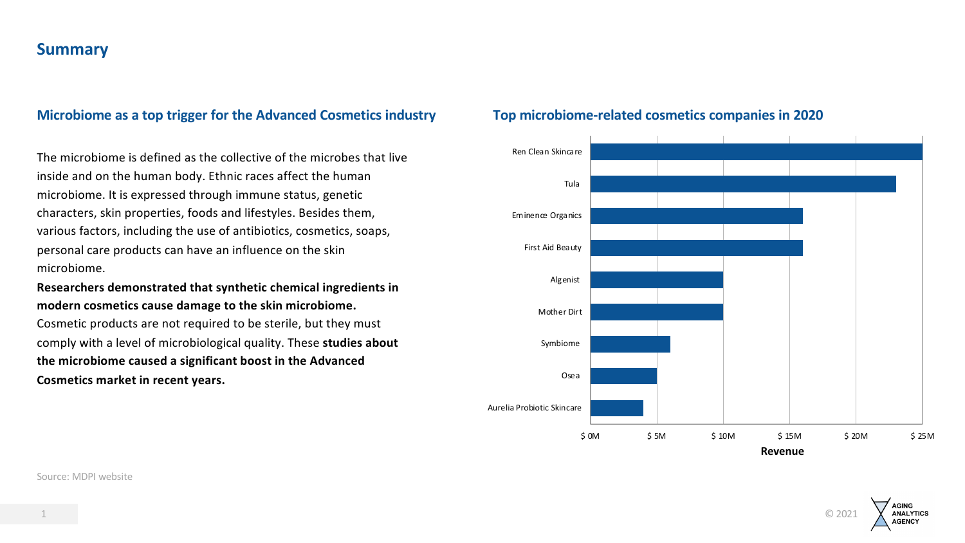## **Summary**

### **Microbiome as a top trigger for the Advanced Cosmetics industry Top microbiome-related cosmetics companies in 2020**

The microbiome is defined as the collective of the microbes that live inside and on the human body. Ethnic races affect the human microbiome. It is expressed through immune status, genetic characters, skin properties, foods and lifestyles. Besides them, various factors, including the use of antibiotics, cosmetics, soaps, personal care products can have an influence on the skin microbiome.

**Researchers demonstrated that synthetic chemical ingredients in modern cosmetics cause damage to the skin microbiome.** 

Cosmetic products are not required to be sterile, but they must comply with a level of microbiological quality. These **studies about the microbiome caused a significant boost in the Advanced Cosmetics market in recent years.** 





Source: MDPI website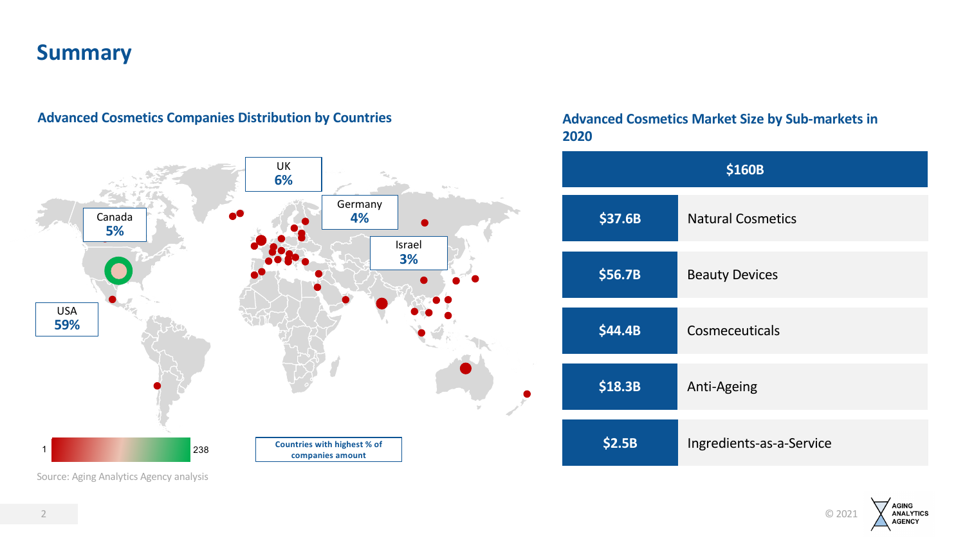# **Summary**



## **Advanced Cosmetics Companies Distribution by Countries**

## **Advanced Cosmetics Market Size by Sub-markets in 2020**

| \$160B  |                          |  |
|---------|--------------------------|--|
| \$37.6B | <b>Natural Cosmetics</b> |  |
| \$56.7B | <b>Beauty Devices</b>    |  |
| \$44.4B | Cosmeceuticals           |  |
| \$18.3B | Anti-Ageing              |  |
| \$2.5B  | Ingredients-as-a-Service |  |



Source: Aging Analytics Agency analysis